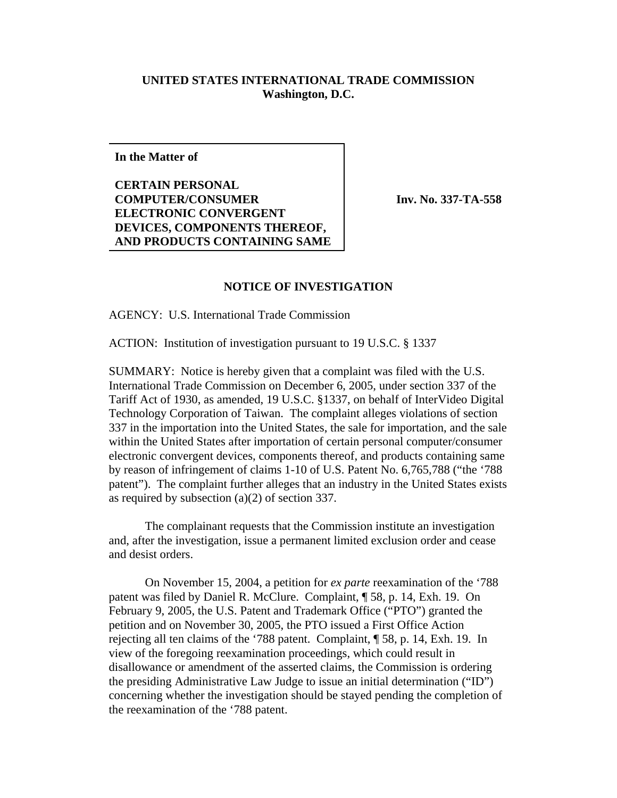## **UNITED STATES INTERNATIONAL TRADE COMMISSION Washington, D.C.**

**In the Matter of**

**CERTAIN PERSONAL COMPUTER/CONSUMER ELECTRONIC CONVERGENT DEVICES, COMPONENTS THEREOF, AND PRODUCTS CONTAINING SAME**

**Inv. No. 337-TA-558**

## **NOTICE OF INVESTIGATION**

AGENCY: U.S. International Trade Commission

ACTION: Institution of investigation pursuant to 19 U.S.C. § 1337

SUMMARY: Notice is hereby given that a complaint was filed with the U.S. International Trade Commission on December 6, 2005, under section 337 of the Tariff Act of 1930, as amended, 19 U.S.C. §1337, on behalf of InterVideo Digital Technology Corporation of Taiwan. The complaint alleges violations of section 337 in the importation into the United States, the sale for importation, and the sale within the United States after importation of certain personal computer/consumer electronic convergent devices, components thereof, and products containing same by reason of infringement of claims 1-10 of U.S. Patent No. 6,765,788 ("the '788 patent"). The complaint further alleges that an industry in the United States exists as required by subsection (a)(2) of section 337.

The complainant requests that the Commission institute an investigation and, after the investigation, issue a permanent limited exclusion order and cease and desist orders.

On November 15, 2004, a petition for *ex parte* reexamination of the '788 patent was filed by Daniel R. McClure. Complaint, ¶ 58, p. 14, Exh. 19. On February 9, 2005, the U.S. Patent and Trademark Office ("PTO") granted the petition and on November 30, 2005, the PTO issued a First Office Action rejecting all ten claims of the '788 patent. Complaint, ¶ 58, p. 14, Exh. 19. In view of the foregoing reexamination proceedings, which could result in disallowance or amendment of the asserted claims, the Commission is ordering the presiding Administrative Law Judge to issue an initial determination ("ID") concerning whether the investigation should be stayed pending the completion of the reexamination of the '788 patent.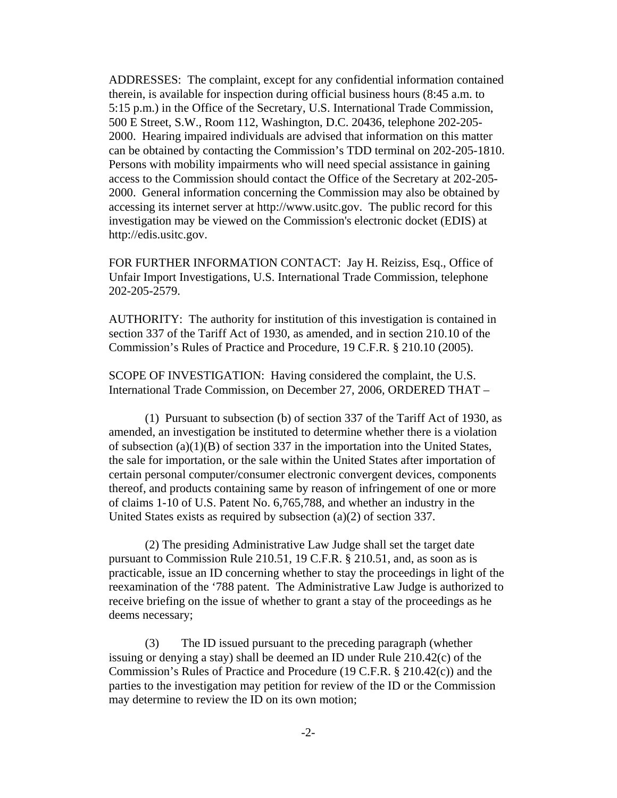ADDRESSES: The complaint, except for any confidential information contained therein, is available for inspection during official business hours (8:45 a.m. to 5:15 p.m.) in the Office of the Secretary, U.S. International Trade Commission, 500 E Street, S.W., Room 112, Washington, D.C. 20436, telephone 202-205- 2000. Hearing impaired individuals are advised that information on this matter can be obtained by contacting the Commission's TDD terminal on 202-205-1810. Persons with mobility impairments who will need special assistance in gaining access to the Commission should contact the Office of the Secretary at 202-205- 2000. General information concerning the Commission may also be obtained by accessing its internet server at http://www.usitc.gov. The public record for this investigation may be viewed on the Commission's electronic docket (EDIS) at http://edis.usitc.gov.

FOR FURTHER INFORMATION CONTACT: Jay H. Reiziss, Esq., Office of Unfair Import Investigations, U.S. International Trade Commission, telephone 202-205-2579.

AUTHORITY: The authority for institution of this investigation is contained in section 337 of the Tariff Act of 1930, as amended, and in section 210.10 of the Commission's Rules of Practice and Procedure, 19 C.F.R. § 210.10 (2005).

SCOPE OF INVESTIGATION: Having considered the complaint, the U.S. International Trade Commission, on December 27, 2006, ORDERED THAT –

(1) Pursuant to subsection (b) of section 337 of the Tariff Act of 1930, as amended, an investigation be instituted to determine whether there is a violation of subsection (a)(1)(B) of section 337 in the importation into the United States, the sale for importation, or the sale within the United States after importation of certain personal computer/consumer electronic convergent devices, components thereof, and products containing same by reason of infringement of one or more of claims 1-10 of U.S. Patent No. 6,765,788, and whether an industry in the United States exists as required by subsection (a)(2) of section 337.

(2) The presiding Administrative Law Judge shall set the target date pursuant to Commission Rule 210.51, 19 C.F.R. § 210.51, and, as soon as is practicable, issue an ID concerning whether to stay the proceedings in light of the reexamination of the '788 patent. The Administrative Law Judge is authorized to receive briefing on the issue of whether to grant a stay of the proceedings as he deems necessary;

(3) The ID issued pursuant to the preceding paragraph (whether issuing or denying a stay) shall be deemed an ID under Rule 210.42(c) of the Commission's Rules of Practice and Procedure (19 C.F.R. § 210.42(c)) and the parties to the investigation may petition for review of the ID or the Commission may determine to review the ID on its own motion;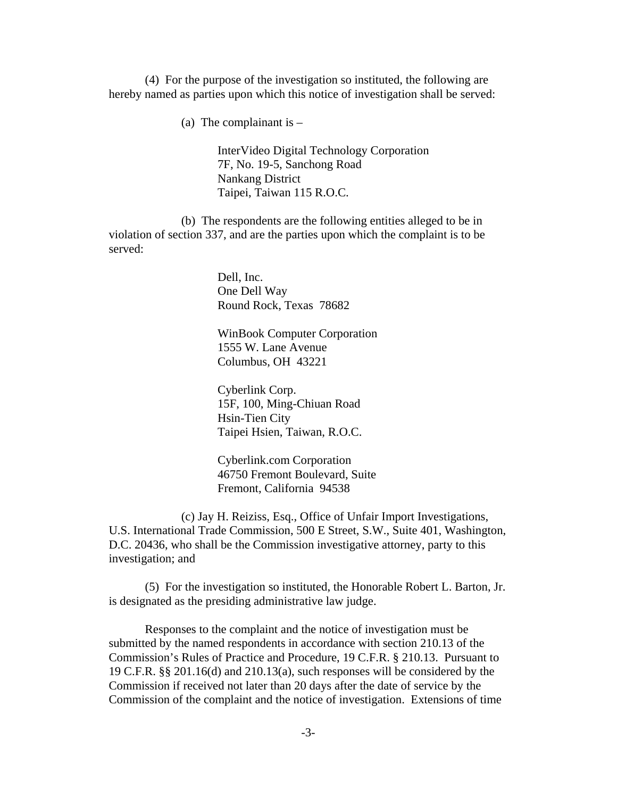(4) For the purpose of the investigation so instituted, the following are hereby named as parties upon which this notice of investigation shall be served:

(a) The complainant is  $-$ 

InterVideo Digital Technology Corporation 7F, No. 19-5, Sanchong Road Nankang District Taipei, Taiwan 115 R.O.C.

(b) The respondents are the following entities alleged to be in violation of section 337, and are the parties upon which the complaint is to be served:

> Dell, Inc. One Dell Way Round Rock, Texas 78682

WinBook Computer Corporation 1555 W. Lane Avenue Columbus, OH 43221

Cyberlink Corp. 15F, 100, Ming-Chiuan Road Hsin-Tien City Taipei Hsien, Taiwan, R.O.C.

Cyberlink.com Corporation 46750 Fremont Boulevard, Suite Fremont, California 94538

(c) Jay H. Reiziss, Esq., Office of Unfair Import Investigations, U.S. International Trade Commission, 500 E Street, S.W., Suite 401, Washington, D.C. 20436, who shall be the Commission investigative attorney, party to this investigation; and

(5) For the investigation so instituted, the Honorable Robert L. Barton, Jr. is designated as the presiding administrative law judge.

Responses to the complaint and the notice of investigation must be submitted by the named respondents in accordance with section 210.13 of the Commission's Rules of Practice and Procedure, 19 C.F.R. § 210.13. Pursuant to 19 C.F.R. §§ 201.16(d) and 210.13(a), such responses will be considered by the Commission if received not later than 20 days after the date of service by the Commission of the complaint and the notice of investigation. Extensions of time